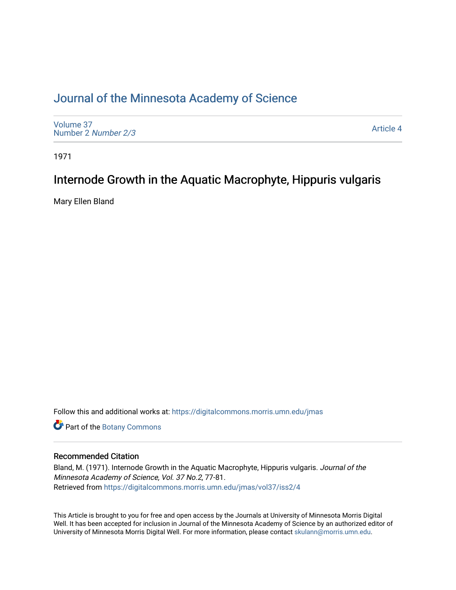## [Journal of the Minnesota Academy of Science](https://digitalcommons.morris.umn.edu/jmas)

[Volume 37](https://digitalcommons.morris.umn.edu/jmas/vol37) [Number 2](https://digitalcommons.morris.umn.edu/jmas/vol37/iss2) Number 2/3

[Article 4](https://digitalcommons.morris.umn.edu/jmas/vol37/iss2/4) 

1971

## Internode Growth in the Aquatic Macrophyte, Hippuris vulgaris

Mary Ellen Bland

Follow this and additional works at: [https://digitalcommons.morris.umn.edu/jmas](https://digitalcommons.morris.umn.edu/jmas?utm_source=digitalcommons.morris.umn.edu%2Fjmas%2Fvol37%2Fiss2%2F4&utm_medium=PDF&utm_campaign=PDFCoverPages) 

Part of the [Botany Commons](https://network.bepress.com/hgg/discipline/104?utm_source=digitalcommons.morris.umn.edu%2Fjmas%2Fvol37%2Fiss2%2F4&utm_medium=PDF&utm_campaign=PDFCoverPages) 

### Recommended Citation

Bland, M. (1971). Internode Growth in the Aquatic Macrophyte, Hippuris vulgaris. Journal of the Minnesota Academy of Science, Vol. 37 No.2, 77-81. Retrieved from [https://digitalcommons.morris.umn.edu/jmas/vol37/iss2/4](https://digitalcommons.morris.umn.edu/jmas/vol37/iss2/4?utm_source=digitalcommons.morris.umn.edu%2Fjmas%2Fvol37%2Fiss2%2F4&utm_medium=PDF&utm_campaign=PDFCoverPages)

This Article is brought to you for free and open access by the Journals at University of Minnesota Morris Digital Well. It has been accepted for inclusion in Journal of the Minnesota Academy of Science by an authorized editor of University of Minnesota Morris Digital Well. For more information, please contact [skulann@morris.umn.edu](mailto:skulann@morris.umn.edu).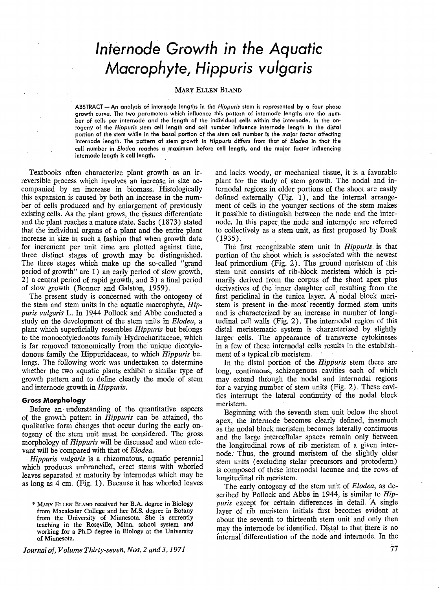# *lnfernode Growth in the Aquatic Macrophyte, Hippuris vulgaris*

#### **MARY ELLEN BLAND**

ABSTRACT -An analysis of internode lengths in the *Hippuris* stem is represented by a four phase growth curve. The two parameters which influence this pattern of internode lengths are the number of cells per internode and the length of the individual cells within the internode. In the ontogeny of the *Hippuris* stem cell length and cell number influence internode length in the distal portion of the stem while in the basal portion of the stem cell number is the major factor affecting internode length. The pattern of stem growth in *Hippuris* differs from that of *Elodea* in that the cell number in *Elodea* reaches a maximum before cell length, and the major factor influencing internode length is cell length. .

Textbooks often characterize plant growth as an irreversible process which involves an increase in size accompanied by an increase in biomass. Histologically this expansion is caused by both an increase in the number of cells produced. and by enlargement of previously existing cells. As the plant grows, the tissues differentiate and the plant reaches a mature state. Sachs ( 1873) stated that the individual organs of a plant and the entire plant increase in size in such a fashion that when growth data for increment per unit time are plotted against time, three distinct stages of growth may be distinguished. The three stages which make up the so-called "grand period of growth" are 1) an early period of slow growth, 2) a central period of rapid growth, and 3) a final period of slow growth (Bonner and Galston, 1959).

The present study is concerned with the ontogeny of the stem and stem units in the aquatic macrophyte, *Hippuris vulgaris* L. In 1944 Pollock and Abbe conducted a study on the development of the stem units in *Elodea,* a plant which superficially resembles *Hippuris* but belongs to the monocotyledonous family Hydrocharitaceae, which is far removed taxonomically from the unique dicotyledonous family the Hippuridaceae, to which *Hippuris* belongs. The following work was undertaken to determine whether the two aquatic plants exhibit a similar type of growth pattern and to define clearly the mode of stem and internode growth in *Hippuris.* 

#### **Gross Morphology**

Before an understanding of the quantitative aspects of the growth pattern in *Hippuris* can be attained, the qualitative form changes that occur during the early ontogeny of the stem unit must be considered. The gross morphology of *Hippuris* will be discussed and when relevant will be compared with that of *Elodea.* 

*Hippuris vulgaris* is a rhizomatous, aquatic perennial which produces unbranched, erect stems with whorled leaves separated at maturity by internodes which may be as long as 4 cm. (Fig. 1). Because it has whorled leaves

*Journal of, Volume Thirty-seven, Nos. 2 and 3, 1971* 

and lacks woody, or mechanical tissue, it is a favorable plant for the study of stem growth. The nodal and internodal regions in older portions of the shoot are easily defined externally (Fig. 1), and the internal arrangement of cells in the younger sections of the stem makes it possible to distinguish between the node and the internode. In this paper the node and internode are referred to collectively as a stem unit, as first proposed by Doak  $(1935).$ 

The first recognizable stem unit 1n *Hippuris* is that portion of the shoot which is assodated with the newest leaf primordium (Fig. 2). The ground meristem of this stem unit consists of rib-block meristem which is primarily derived from the corpus of the shoot apex plus derivatives of the inner daughter cell resulting from the first periclinal in the tunica layer. A nodal block meristem is present in the most' recently formed stem units and is characterized by an increase in number of longitudinal cell walls (Fig. 2) . The internodal region of this distal meristematic system is characterized by slightly larger cells. The appearance of transverse cytokineses in a few of these internodal cells results in the establishment of a typical rib meristem.

In the distal portion of the *Hippuris* stem there are long, continuous, schizogenous cavities each of which may extend through the nodal and internodal regions for a varying number of stem units (Fig. 2). These cavities interrupt the lateral continuity of the nodal block meristem.

Beginning with the seventh stem unit below the shoot apex, the internode becomes clearly defined, inasmuch as the nodal block meristem becomes laterally continuous and the large intercellular spaces remain only between the longitudinal rows of rib meristem of a given internode. Thus, the ground meristem of the slightly older stem units ( excluding stelar precursors and protoderm) is composed of these internodal lacunae and the rows of longitudinal rib meristem.

The early ontogeny of the stem unit of *Elodea,* as described by Pollock and Abbe in 1944, is similar to *Hippuris* except for certain differences in detail. A single layer of rib meristem initials first becomes evident at about the seventh to thirteenth stem unit and only then may the internode be identified. Distal to that there is no internal differentiation of the node and internode. In the

<sup>\*</sup> MARY ELLEN BLAND received her B.A. degree in Biology from Macalester College and her **M.S.** degree in Botany from the University of Minnesota. She is currently teaching in the Roseville, Minn. school system and working for a Ph.D degree in Biology at the University of Minnesota.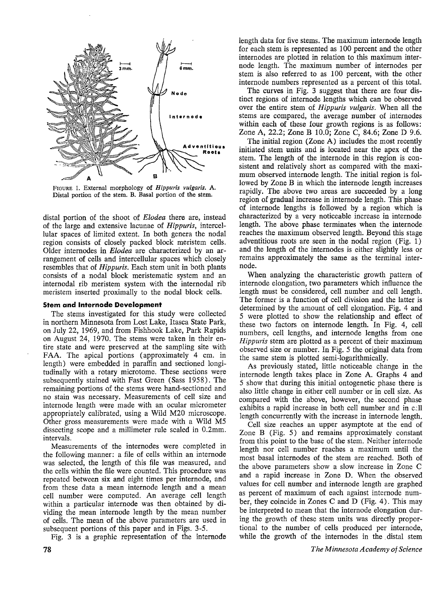

FIGURE 1. External morphology of *Hippuris vulgaris.* A. Distal portion of the stem. B. Basal portion of the stem.

distal portion of the shoot of *Elodea* there are, instead of the large and extensive lacunae of *Hippuris,* intercellular spaces of limited extent. In both genera the nodal region consists of closely packed block meristem cells. Older internodes in *Elodea* are characterized by an arrangement of cells and intercellular spaces which closely resembles that of *Hippuris.* Each stem unit in both plants consists of a nodal block meristematic system and an internodal rib meristem system with the internodal rib meristem inserted proximally to the nodal block cells.

#### **Stem and lnternode Development**

The stems investigated for this study were collected in northern Minnesota from Lost Lake, Itasca State Park, on July 22, 1969, and from Fishhook Lake, Park Rapids on August 24, 1970. The stems were taken in their entire state and were preserved at the sampling site with FAA. The apical portions (approximately 4 cm. in length) were embedded in paraffin and sectioned longitudinally with a rotary microtome. These sections were subsequently stained with Fast Green (Sass 1958). The remaining portions of the stems were hand-sectioned and no stain was necessary. Measurements of cell size and internode length were made with an ocular micrometer appropriately calibrated, using a Wild M20 microscope. Other gross measurements were made with a Wild M5 dissecting scope and a millimeter rule scaled in 0.2mm. intervals.

Measurements of the internodes were completed in the following manner: a file of cells within an internode was selected, the length of this file was measured, and the cells within the file were counted. This procedure was repeated between six and eight times per internode, and from these data a mean internode length and a mean cell number were computed. An average cell length within a particular internode was then obtained by dividing the mean internode length by the mean number of cells. The mean of the above parameters are used in subsequent portions of this paper and in Figs. 3-5.

Fig. 3 is a graphic representation of the intemode

length data for five stems. The maximum internode length for each stem is represented as 100 percent and the other internodes are plotted in relation to this maximum internode length. The maximum number of internodes per stem is also referred to as 100 percent, with the other internode numbers represented as a percent of this total.

The curves in Fig. 3 suggest that there are four distinct regions of internode lengths which can be observed over the entire stem of *Hippuris vulgaris.* When all the stems are compared, the average number of internodes within each of these four growth regions is as follows: Zone A, 22.2; Zone B 10.0; Zone C, 84.6; Zone D 9.6.

The initial region (Zone A) includes the most recently initiated stem units and is located near the apex of the stem. The length of the internode in this region is consistent and relatively short as compared with the maximum observed internode length. The initial region is followed by Zone B in which the internode length increases rapidly. The above two areas are succeeded by a long region of gradual increase in internode length. This phase of internode lengths is followed by a region which is characterized by a very noticeable increase in internode length. The above phase terminates when the internode reaches the maximum observed length. Beyond this stage adventitious roots are seen in the nodal region (Fig. 1) and the length of the internodes is either slightly less or remains approximately the same as the terminal internode.

When analyzing the characteristic growth pattern of internode elongation, two parameters which influence the length must be considered, cell number and cell length. The former is a function of cell division and the latter is determined by the amount of cell elongation. Fig. 4 and 5 were plotted to show the relationship and effect of these two factors on internode length. In Fig. 4, cell numbers, cell lengths, and internode lengths from one *Hippuris* stem are plotted as a percent of their maximum observed size or number. In Fig. 5 the original data from the same stem is plotted semi-logarithmically.

As previously stated, little noticeable change in the internode length takes place in Zone A. Graphs 4 and 5 show that during this initial ontogenetic phase there is also little change in either cell number or in cell size. As compared with the above, however, the second phase exhibits a rapid increase in both cell number and in c:ll length concurrently with the increase in internode length.

Cell size reaches an upper asymptote at the end of Zone B (Fig. 5) and remains approximately constant from this point to the base of the stem. Neither internode length nor cell number reaches a maximum until the most basal internodes of the stem are reached. Both of the above parameters show a slow increase in Zone C and a rapid increase in Zone **D.** When the observed values for cell number and internode length are graphed as percent of maximum of each against internode number, they coincide in Zones C and **D** (Fig. 4). This may be interpreted to mean that the internode elongation during the growth of these stem units was directly proportional to the number of. cells produced per internode, while the growth of the internodes in the distal stem

*The Minnesota Academy of Science*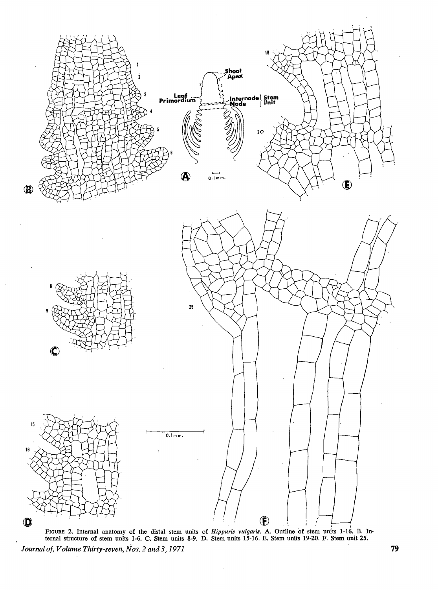

FIGURE 2. Internal anatomy of the distal stem units of *Hippuris vulgaris.* A. Outline of stem units 1-16. B. Internal structure of stem units 1-6. C. Stem units 8-9. D. Stem units 15-16. E. Stem units 19-20. F. Stem unit *25. Journal of, Volume Thirty-seven, Nos. 2 and 3, 1971* **79**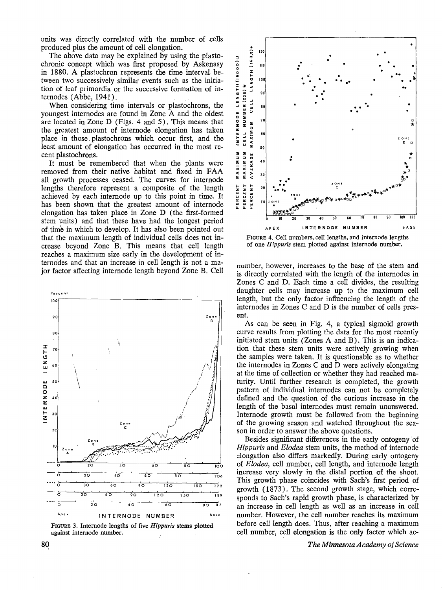units was directly correlated with the number of cells produced plus the amount of cell elongation.

The above data may be explained by using the plastochronic concept which was first proposed by Askenasy in 1880. A plastochron represents the time interval between two successively similar events such as the initiation of leaf primordia or the successive formation of internodes (Abbe, 1941).

When considering time intervals or plastochrons, the youngest internodes are found in Zone A and the oldest are located in Zone D (Figs. 4 and 5). This means that the greatest amount of internode elongation has taken place in those plastochrons which occur first, and the least amount of elongation has occurred in the most recent plastochrons.

It must be remembered that when the plants were removed from their native habitat and fixed in FAA all growth processes ceased. The curves for internode lengths therefore represent a composite of the length achieved by each internode up to this point in time. It has been shown that the greatest amount of internode elongation has taken place in Zone D (the first-formed stem units) and that these have had the longest period of time in which to develop. It has also been pointed out that the maximum length of individual cells does not increase beyond Zone B. This means that cell length reaches a maximum size early in the development of internodes and that an increase in cell length is not a major factor affecting internode length beyond Zone B. Cell



FIGURE 3. Internode lengths of five Hippuris stems plotted against internode number.



FIGURE 4. Cell numbers, cell lengths, and internode lengths of one Hippuris stem plotted against internode number.

number, however, increases to the base of the stem and is directly correlated with the length of the internodes in Zones C and D. Each time a cell divides, the resulting daughter cells may increase up to the maximum cell length, but the only factor influencing the length of the internodes in Zones C and D is the number of cells present.

As can be seen in Fig. 4, a typical sigmoid growth curve results from plotting the data for the most recently initiated stem units (Zones A and B). This is an indication that these stem units were actively growing when the samples were taken. It is questionable as to whether the internodes in Zones C and D were actively elongating at the time of collection or whether they had reached maturity. Until further research is completed, the growth pattern of individual internodes can not be completely defined and the question of the curious increase in the length of the basal internodes must remain unanswered. Internode growth must be followed from the beginning of the growing season and watched throughout the season in order to answer the above questions.

Besides significant differences in the early ontogeny of *Hippuris* and *Elodea* stem units, the method of internode elongation also differs markedly. During early ontogeny of Elodea, cell number, cell length, and internode length increase very slowly in the distal portion of the shoot. This growth phase coincides with Sach's first period of growth (1873). The second growth stage, which corresponds to Sach's rapid growth phase, is characterized by an increase in cell length as well as an increase in cell number. However, the cell number reaches its maximum before cell length does. Thus, after reaching a maximum cell number, cell elongation is the only factor which ac-

The Minnesota Academy of Science